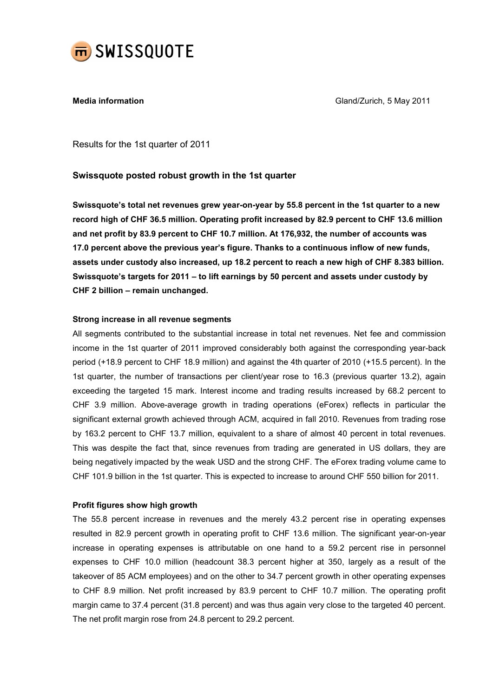

**Media information** Media information Gland/Zurich, 5 May 2011

Results for the 1st quarter of 2011

# Swissquote posted robust growth in the 1st quarter

Swissquote's total net revenues grew year-on-year by 55.8 percent in the 1st quarter to a new record high of CHF 36.5 million. Operating profit increased by 82.9 percent to CHF 13.6 million and net profit by 83.9 percent to CHF 10.7 million. At 176,932, the number of accounts was 17.0 percent above the previous year's figure. Thanks to a continuous inflow of new funds, assets under custody also increased, up 18.2 percent to reach a new high of CHF 8.383 billion. Swissquote's targets for 2011 – to lift earnings by 50 percent and assets under custody by CHF 2 billion – remain unchanged.

### Strong increase in all revenue segments

All segments contributed to the substantial increase in total net revenues. Net fee and commission income in the 1st quarter of 2011 improved considerably both against the corresponding year-back period (+18.9 percent to CHF 18.9 million) and against the 4th quarter of 2010 (+15.5 percent). In the 1st quarter, the number of transactions per client/year rose to 16.3 (previous quarter 13.2), again exceeding the targeted 15 mark. Interest income and trading results increased by 68.2 percent to CHF 3.9 million. Above-average growth in trading operations (eForex) reflects in particular the significant external growth achieved through ACM, acquired in fall 2010. Revenues from trading rose by 163.2 percent to CHF 13.7 million, equivalent to a share of almost 40 percent in total revenues. This was despite the fact that, since revenues from trading are generated in US dollars, they are being negatively impacted by the weak USD and the strong CHF. The eForex trading volume came to CHF 101.9 billion in the 1st quarter. This is expected to increase to around CHF 550 billion for 2011.

# Profit figures show high growth

The 55.8 percent increase in revenues and the merely 43.2 percent rise in operating expenses resulted in 82.9 percent growth in operating profit to CHF 13.6 million. The significant year-on-year increase in operating expenses is attributable on one hand to a 59.2 percent rise in personnel expenses to CHF 10.0 million (headcount 38.3 percent higher at 350, largely as a result of the takeover of 85 ACM employees) and on the other to 34.7 percent growth in other operating expenses to CHF 8.9 million. Net profit increased by 83.9 percent to CHF 10.7 million. The operating profit margin came to 37.4 percent (31.8 percent) and was thus again very close to the targeted 40 percent. The net profit margin rose from 24.8 percent to 29.2 percent.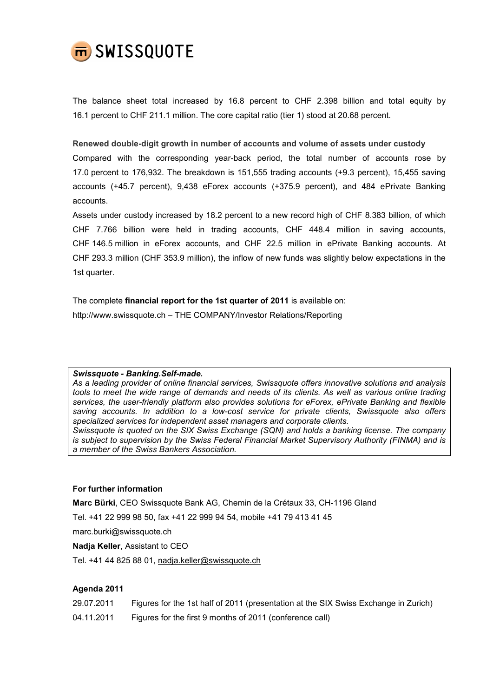

The balance sheet total increased by 16.8 percent to CHF 2.398 billion and total equity by 16.1 percent to CHF 211.1 million. The core capital ratio (tier 1) stood at 20.68 percent.

Renewed double-digit growth in number of accounts and volume of assets under custody

Compared with the corresponding year-back period, the total number of accounts rose by 17.0 percent to 176,932. The breakdown is 151,555 trading accounts (+9.3 percent), 15,455 saving accounts (+45.7 percent), 9,438 eForex accounts (+375.9 percent), and 484 ePrivate Banking accounts.

Assets under custody increased by 18.2 percent to a new record high of CHF 8.383 billion, of which CHF 7.766 billion were held in trading accounts, CHF 448.4 million in saving accounts, CHF 146.5 million in eForex accounts, and CHF 22.5 million in ePrivate Banking accounts. At CHF 293.3 million (CHF 353.9 million), the inflow of new funds was slightly below expectations in the 1st quarter.

The complete financial report for the 1st quarter of 2011 is available on: http://www.swissquote.ch – THE COMPANY/Investor Relations/Reporting

#### Swissquote - Banking.Self-made.

As a leading provider of online financial services, Swissquote offers innovative solutions and analysis tools to meet the wide range of demands and needs of its clients. As well as various online trading services, the user-friendly platform also provides solutions for eForex, ePrivate Banking and flexible saving accounts. In addition to a low-cost service for private clients, Swissquote also offers specialized services for independent asset managers and corporate clients. Swissquote is quoted on the SIX Swiss Exchange (SQN) and holds a banking license. The company is subject to supervision by the Swiss Federal Financial Market Supervisory Authority (FINMA) and is a member of the Swiss Bankers Association.

# For further information

Marc Bürki, CEO Swissquote Bank AG, Chemin de la Crétaux 33, CH-1196 Gland

Tel. +41 22 999 98 50, fax +41 22 999 94 54, mobile +41 79 413 41 45

marc.burki@swissquote.ch

Nadia Keller, Assistant to CEO

Tel. +41 44 825 88 01, nadja.keller@swissquote.ch

# Agenda 2011

- 29.07.2011 Figures for the 1st half of 2011 (presentation at the SIX Swiss Exchange in Zurich)
- 04.11.2011 Figures for the first 9 months of 2011 (conference call)